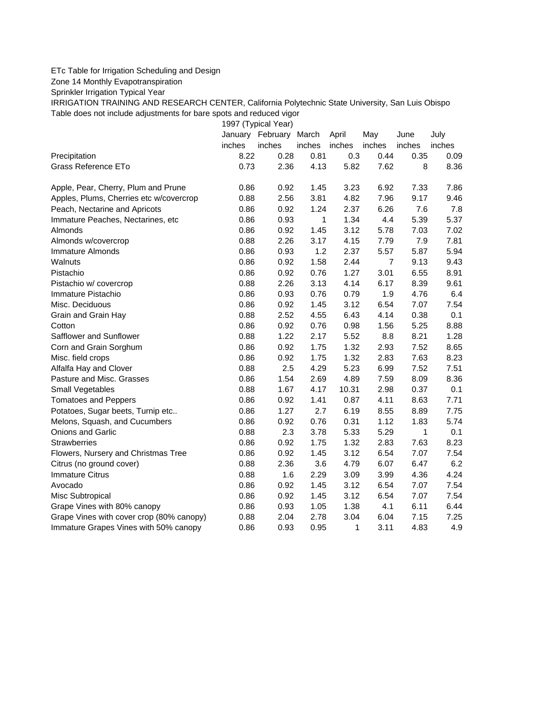## ETc Table for Irrigation Scheduling and Design

Zone 14 Monthly Evapotranspiration

Sprinkler Irrigation Typical Year

IRRIGATION TRAINING AND RESEARCH CENTER, California Polytechnic State University, San Luis Obispo Table does not include adjustments for bare spots and reduced vigor

1997 (Typical Year)

|                                          |        | January February | March        | April  | May            | June   | July   |
|------------------------------------------|--------|------------------|--------------|--------|----------------|--------|--------|
|                                          | inches | inches           | inches       | inches | inches         | inches | inches |
| Precipitation                            | 8.22   | 0.28             | 0.81         | 0.3    | 0.44           | 0.35   | 0.09   |
| <b>Grass Reference ETo</b>               | 0.73   | 2.36             | 4.13         | 5.82   | 7.62           | 8      | 8.36   |
| Apple, Pear, Cherry, Plum and Prune      | 0.86   | 0.92             | 1.45         | 3.23   | 6.92           | 7.33   | 7.86   |
| Apples, Plums, Cherries etc w/covercrop  | 0.88   | 2.56             | 3.81         | 4.82   | 7.96           | 9.17   | 9.46   |
| Peach, Nectarine and Apricots            | 0.86   | 0.92             | 1.24         | 2.37   | 6.26           | 7.6    | 7.8    |
| Immature Peaches, Nectarines, etc        | 0.86   | 0.93             | $\mathbf{1}$ | 1.34   | 4.4            | 5.39   | 5.37   |
| Almonds                                  | 0.86   | 0.92             | 1.45         | 3.12   | 5.78           | 7.03   | 7.02   |
| Almonds w/covercrop                      | 0.88   | 2.26             | 3.17         | 4.15   | 7.79           | 7.9    | 7.81   |
| Immature Almonds                         | 0.86   | 0.93             | 1.2          | 2.37   | 5.57           | 5.87   | 5.94   |
| Walnuts                                  | 0.86   | 0.92             | 1.58         | 2.44   | $\overline{7}$ | 9.13   | 9.43   |
| Pistachio                                | 0.86   | 0.92             | 0.76         | 1.27   | 3.01           | 6.55   | 8.91   |
| Pistachio w/ covercrop                   | 0.88   | 2.26             | 3.13         | 4.14   | 6.17           | 8.39   | 9.61   |
| Immature Pistachio                       | 0.86   | 0.93             | 0.76         | 0.79   | 1.9            | 4.76   | 6.4    |
| Misc. Deciduous                          | 0.86   | 0.92             | 1.45         | 3.12   | 6.54           | 7.07   | 7.54   |
| Grain and Grain Hay                      | 0.88   | 2.52             | 4.55         | 6.43   | 4.14           | 0.38   | 0.1    |
| Cotton                                   | 0.86   | 0.92             | 0.76         | 0.98   | 1.56           | 5.25   | 8.88   |
| Safflower and Sunflower                  | 0.88   | 1.22             | 2.17         | 5.52   | 8.8            | 8.21   | 1.28   |
| Corn and Grain Sorghum                   | 0.86   | 0.92             | 1.75         | 1.32   | 2.93           | 7.52   | 8.65   |
| Misc. field crops                        | 0.86   | 0.92             | 1.75         | 1.32   | 2.83           | 7.63   | 8.23   |
| Alfalfa Hay and Clover                   | 0.88   | 2.5              | 4.29         | 5.23   | 6.99           | 7.52   | 7.51   |
| Pasture and Misc. Grasses                | 0.86   | 1.54             | 2.69         | 4.89   | 7.59           | 8.09   | 8.36   |
| Small Vegetables                         | 0.88   | 1.67             | 4.17         | 10.31  | 2.98           | 0.37   | 0.1    |
| <b>Tomatoes and Peppers</b>              | 0.86   | 0.92             | 1.41         | 0.87   | 4.11           | 8.63   | 7.71   |
| Potatoes, Sugar beets, Turnip etc        | 0.86   | 1.27             | 2.7          | 6.19   | 8.55           | 8.89   | 7.75   |
| Melons, Squash, and Cucumbers            | 0.86   | 0.92             | 0.76         | 0.31   | 1.12           | 1.83   | 5.74   |
| <b>Onions and Garlic</b>                 | 0.88   | 2.3              | 3.78         | 5.33   | 5.29           | 1      | 0.1    |
| <b>Strawberries</b>                      | 0.86   | 0.92             | 1.75         | 1.32   | 2.83           | 7.63   | 8.23   |
| Flowers, Nursery and Christmas Tree      | 0.86   | 0.92             | 1.45         | 3.12   | 6.54           | 7.07   | 7.54   |
| Citrus (no ground cover)                 | 0.88   | 2.36             | 3.6          | 4.79   | 6.07           | 6.47   | 6.2    |
| <b>Immature Citrus</b>                   | 0.88   | 1.6              | 2.29         | 3.09   | 3.99           | 4.36   | 4.24   |
| Avocado                                  | 0.86   | 0.92             | 1.45         | 3.12   | 6.54           | 7.07   | 7.54   |
| Misc Subtropical                         | 0.86   | 0.92             | 1.45         | 3.12   | 6.54           | 7.07   | 7.54   |
| Grape Vines with 80% canopy              | 0.86   | 0.93             | 1.05         | 1.38   | 4.1            | 6.11   | 6.44   |
| Grape Vines with cover crop (80% canopy) | 0.88   | 2.04             | 2.78         | 3.04   | 6.04           | 7.15   | 7.25   |
| Immature Grapes Vines with 50% canopy    | 0.86   | 0.93             | 0.95         | 1      | 3.11           | 4.83   | 4.9    |